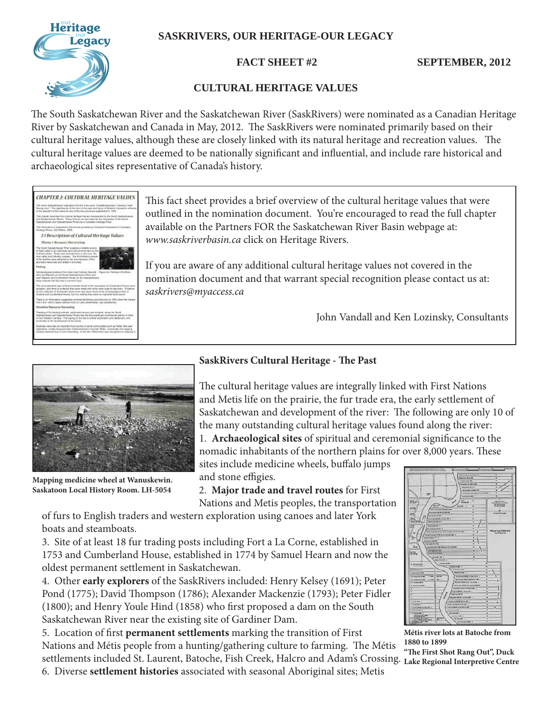# **SASKRIVERS, OUR HERITAGE-OUR LEGACY**



**FACT SHEET #2 SEPTEMBER, 2012** 

# **CULTURAL HERITAGE VALUES**

The South Saskatchewan River and the Saskatchewan River (SaskRivers) were nominated as a Canadian Heritage River by Saskatchewan and Canada in May, 2012. The SaskRivers were nominated primarily based on their cultural heritage values, although these are closely linked with its natural heritage and recreation values. The cultural heritage values are deemed to be nationally significant and influential, and include rare historical and archaeological sites representative of Canada's history.



This fact sheet provides a brief overview of the cultural heritage values that were outlined in the nomination document. You're encouraged to read the full chapter available on the Partners FOR the Saskatchewan River Basin webpage at: *www.saskriverbasin.ca* click on Heritage Rivers.

If you are aware of any additional cultural heritage values not covered in the nomination document and that warrant special recognition please contact us at: *saskrivers@myaccess.ca*

John Vandall and Ken Lozinsky, Consultants



**Mapping medicine wheel at Wanuskewin. Saskatoon Local History Room. LH-5054**

### **SaskRivers Cultural Heritage - The Past**

The cultural heritage values are integrally linked with First Nations and Metis life on the prairie, the fur trade era, the early settlement of Saskatchewan and development of the river: The following are only 10 of the many outstanding cultural heritage values found along the river: 1. **Archaeological sites** of spiritual and ceremonial significance to the nomadic inhabitants of the northern plains for over 8,000 years. These

sites include medicine wheels, buffalo jumps and stone effigies.

2. **Major trade and travel routes** for First Nations and Metis peoples, the transportation

of furs to English traders and western exploration using canoes and later York boats and steamboats.

3. Site of at least 18 fur trading posts including Fort a La Corne, established in 1753 and Cumberland House, established in 1774 by Samuel Hearn and now the oldest permanent settlement in Saskatchewan.

4. Other **early explorers** of the SaskRivers included: Henry Kelsey (1691); Peter Pond (1775); David Thompson (1786); Alexander Mackenzie (1793); Peter Fidler (1800); and Henry Youle Hind (1858) who first proposed a dam on the South Saskatchewan River near the existing site of Gardiner Dam.

5. Location of first **permanent settlements** marking the transition of First Nations and Métis people from a hunting/gathering culture to farming. The Métis settlements included St. Laurent, Batoche, Fish Creek, Halcro and Adam's Crossing. **Lake Regional Interpretive Centre**



**Métis river lots at Batoche from 1880 to 1899**

"The First Shot Rang Out", Duck

6. Diverse **settlement histories** associated with seasonal Aboriginal sites; Metis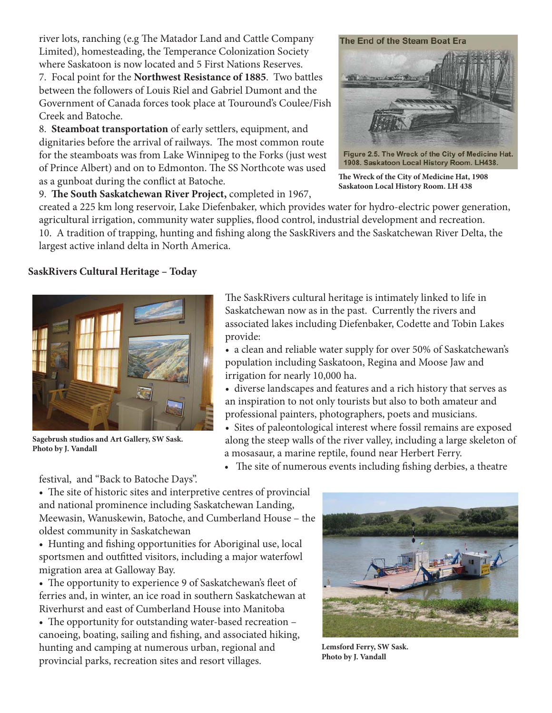river lots, ranching (e.g The Matador Land and Cattle Company Limited), homesteading, the Temperance Colonization Society where Saskatoon is now located and 5 First Nations Reserves.

7. Focal point for the **Northwest Resistance of 1885**. Two battles between the followers of Louis Riel and Gabriel Dumont and the Government of Canada forces took place at Touround's Coulee/Fish Creek and Batoche.

8. **Steamboat transportation** of early settlers, equipment, and dignitaries before the arrival of railways. The most common route for the steamboats was from Lake Winnipeg to the Forks (just west of Prince Albert) and on to Edmonton. The SS Northcote was used as a gunboat during the conflict at Batoche.

9. The South Saskatchewan River Project, completed in 1967,

#### The End of the Steam Boat Era



Figure 2.5. The Wreck of the City of Medicine Hat. 1908. Saskatoon Local History Room. LH438.

The Wreck of the City of Medicine Hat, 1908 **Saskatoon Local History Room. LH 438**

created a 225 km long reservoir, Lake Diefenbaker, which provides water for hydro-electric power generation, agricultural irrigation, community water supplies, flood control, industrial development and recreation. 10. A tradition of trapping, hunting and fishing along the SaskRivers and the Saskatchewan River Delta, the largest active inland delta in North America.

## **SaskRivers Cultural Heritage – Today**



**Sagebrush studios and Art Gallery, SW Sask. Photo by J. Vandall**

The SaskRivers cultural heritage is intimately linked to life in Saskatchewan now as in the past. Currently the rivers and associated lakes including Diefenbaker, Codette and Tobin Lakes provide:

• a clean and reliable water supply for over 50% of Saskatchewan's population including Saskatoon, Regina and Moose Jaw and irrigation for nearly 10,000 ha.

• diverse landscapes and features and a rich history that serves as an inspiration to not only tourists but also to both amateur and professional painters, photographers, poets and musicians.

• Sites of paleontological interest where fossil remains are exposed along the steep walls of the river valley, including a large skeleton of a mosasaur, a marine reptile, found near Herbert Ferry.

• The site of numerous events including fishing derbies, a theatre

festival, and "Back to Batoche Days".

• The site of historic sites and interpretive centres of provincial and national prominence including Saskatchewan Landing, Meewasin, Wanuskewin, Batoche, and Cumberland House – the oldest community in Saskatchewan

• Hunting and fishing opportunities for Aboriginal use, local sportsmen and outfitted visitors, including a major waterfowl migration area at Galloway Bay.

• The opportunity to experience 9 of Saskatchewan's fleet of ferries and, in winter, an ice road in southern Saskatchewan at Riverhurst and east of Cumberland House into Manitoba

• The opportunity for outstanding water-based recreation – canoeing, boating, sailing and fishing, and associated hiking, hunting and camping at numerous urban, regional and provincial parks, recreation sites and resort villages.



**Lemsford Ferry, SW Sask. Photo by J. Vandall**